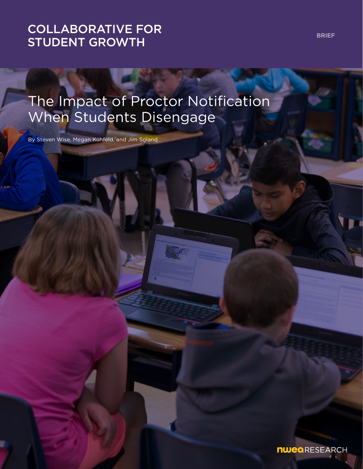# [COLLABORATIVE FOR](https://www.nwea.org/research/collaborative-for-student-growth/)  STUDENT GROWTH

# The Impact of Proctor Notification When Students Disengage

By Steven Wise, Megan Kuhfeld, and Jim Soland

BRIEF

**nwea** RESEARCH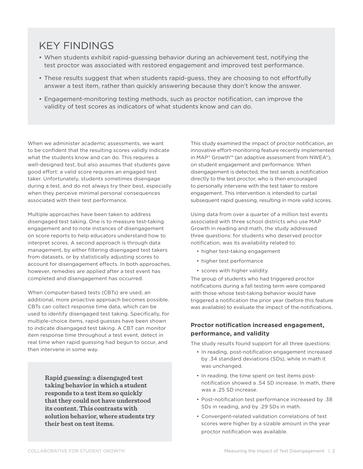### KEY FINDINGS

- When students exhibit rapid-guessing behavior during an achievement test, notifying the test proctor was associated with restored engagement and improved test performance.
- These results suggest that when students rapid-guess, they are choosing to not effortfully answer a test item, rather than quickly answering because they don't know the answer.
- Engagement-monitoring testing methods, such as proctor notification, can improve the validity of test scores as indicators of what students know and can do.

When we administer academic assessments, we want to be confident that the resulting scores validly indicate what the students know and can do. This requires a well-designed test, but also assumes that students gave good effort: a valid score requires an engaged test taker. Unfortunately, students sometimes disengage during a test, and do not always try their best, especially when they perceive minimal personal consequences associated with their test performance.

Multiple approaches have been taken to address disengaged test taking. One is to measure test-taking engagement and to note instances of disengagement on score reports to help educators understand how to interpret scores. A second approach is through data management, by either filtering disengaged test takers from datasets, or by statistically adjusting scores to account for disengagement effects. In both approaches, however, remedies are applied after a test event has completed and disengagement has occurred.

When computer-based tests (CBTs) are used, an additional, more proactive approach becomes possible. CBTs can collect response time data, which can be used to identify disengaged test taking. Specifically, for multiple-choice items, rapid guesses have been shown to indicate disengaged test taking. A CBT can monitor item response time throughout a test event, detect in real time when rapid guessing had begun to occur, and then intervene in some way.

> **Rapid guessing: a disengaged test taking behavior in which a student responds to a test item so quickly that they could not have understood its content. This contrasts with solution behavior, where students try their best on test items.**

This study examined the impact of proctor notification, an innovative effort-monitoring feature recently implemented in MAP® Growth™ (an adaptive assessment from NWEA®), on student engagement and performance. When disengagement is detected, the test sends a notification directly to the test proctor, who is then encouraged to personally intervene with the test taker to restore engagement. This intervention is intended to curtail subsequent rapid guessing, resulting in more valid scores.

Using data from over a quarter of a million test events associated with three school districts who use MAP Growth in reading and math, the study addressed three questions: for students who deserved proctor notification, was its availability related to:

- higher test-taking engagement
- higher test performance
- scores with higher validity

The group of students who had triggered proctor notifications during a fall testing term were compared with those whose test-taking behavior would have triggered a notification the prior year (before this feature was available) to evaluate the impact of the notifications.

#### **Proctor notification increased engagement, performance, and validity**

The study results found support for all three questions:

- In reading, post-notification engagement increased by .34 standard deviations (SDs), while in math it was unchanged.
- In reading, the time spent on test items postnotification showed a .54 SD increase. In math, there was a .25 SD increase.
- Post-notification test performance increased by .38 SDs in reading, and by .29 SDs in math.
- Convergent-related validation correlations of test scores were higher by a sizable amount in the year proctor notification was available.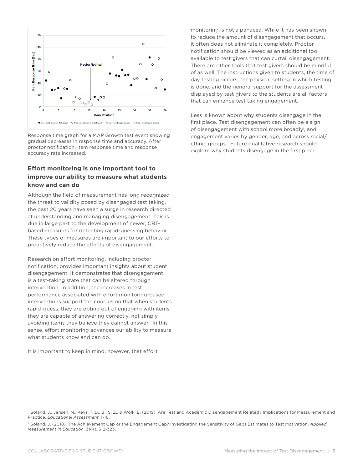

Response time graph for a MAP Growth test event showing gradual decreases in response time and accuracy. After proctor notification, item response time and response accuracy rate increased.

### **Effort monitoring is one important tool to improve our ability to measure what students know and can do**

Although the field of measurement has long recognized the threat to validity posed by disengaged test taking, the past 20 years have seen a surge in research directed at understanding and managing disengagement. This is due in large part to the development of newer, CBTbased measures for detecting rapid-guessing behavior. These types of measures are important to our efforts to proactively reduce the effects of disengagement.

Research on effort monitoring, including proctor notification, provides important insights about student disengagement. It demonstrates that disengagement is a test-taking state that can be altered through intervention. In addition, the increases in test performance associated with effort monitoring-based interventions support the conclusion that when students rapid-guess, they are opting out of engaging with items they are capable of answering correctly, not simply avoiding items they believe they cannot answer. In this sense, effort monitoring advances our ability to measure what students know and can do.

It is important to keep in mind, however, that effort

monitoring is not a panacea. While it has been shown to reduce the amount of disengagement that occurs, it often does not eliminate it completely. Proctor notification should be viewed as an additional tool available to test givers that can curtail disengagement. There are other tools that test givers should be mindful of as well. The instructions given to students, the time of day testing occurs, the physical setting in which testing is done, and the general support for the assessment displayed by test givers to the students are all factors that can enhance test taking engagement.

Less is known about why students disengage in the first place. Test disengagement can often be a sign of disengagement with school more broadlyi , and engagement varies by gender, age, and across racial/ ethnic groups<sup>ii</sup>. Future qualitative research should explore why students disengage in the first place.

i Soland, J., Jensen, N., Keys, T. D., Bi, S. Z., & Wolk, E. (2019). Are Test and Academic Disengagement Related? Implications for Measurement and Practice. *Educational Assessment*, 1-16.

ii Soland, J. (2018). The Achievement Gap or the Engagement Gap? Investigating the Sensitivity of Gaps Estimates to Test Motivation. *Applied Measurement in Education*. 31(4), 312-323.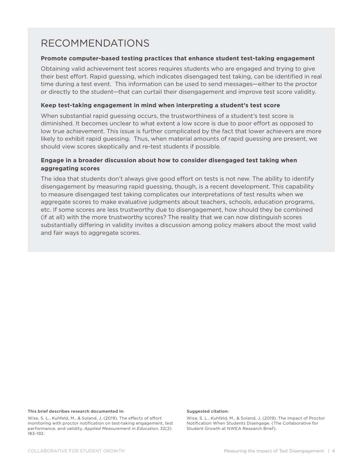### RECOMMENDATIONS

#### **Promote computer-based testing practices that enhance student test-taking engagement**

Obtaining valid achievement test scores requires students who are engaged and trying to give their best effort. Rapid guessing, which indicates disengaged test taking, can be identified in real time during a test event. This information can be used to send messages—either to the proctor or directly to the student—that can curtail their disengagement and improve test score validity.

#### **Keep test-taking engagement in mind when interpreting a student's test score**

When substantial rapid guessing occurs, the trustworthiness of a student's test score is diminished. It becomes unclear to what extent a low score is due to poor effort as opposed to low true achievement. This issue is further complicated by the fact that lower achievers are more likely to exhibit rapid guessing. Thus, when material amounts of rapid guessing are present, we should view scores skeptically and re-test students if possible.

### **Engage in a broader discussion about how to consider disengaged test taking when aggregating scores**

The idea that students don't always give good effort on tests is not new. The ability to identify disengagement by measuring rapid guessing, though, is a recent development. This capability to measure disengaged test taking complicates our interpretations of test results when we aggregate scores to make evaluative judgments about teachers, schools, education programs, etc. If some scores are less trustworthy due to disengagement, how should they be combined (if at all) with the more trustworthy scores? The reality that we can now distinguish scores substantially differing in validity invites a discussion among policy makers about the most valid and fair ways to aggregate scores.

#### This brief describes research documented in:

Wise, S. L., Kuhfeld, M., & Soland, J. (2019). The effects of effort monitoring with proctor notification on test-taking engagement, test performance, and validity. *Applied Measurement in Education*, 32(2) 183-192.

#### Suggested citation:

Wise, S. L., Kuhfeld, M., & Soland, J. (2019). The Impact of Proctor Notification When Students Disengage. (The Collaborative for Student Growth at NWEA Research Brief).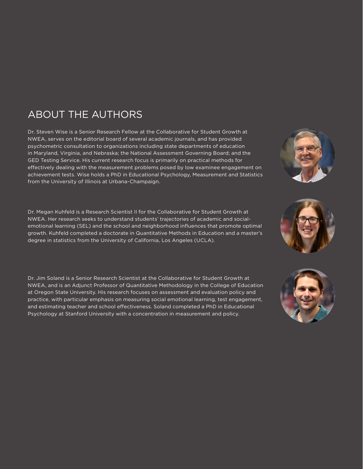## ABOUT THE AUTHORS

Dr. Steven Wise is a Senior Research Fellow at the Collaborative for Student Growth at NWEA, serves on the editorial board of several academic journals, and has provided psychometric consultation to organizations including state departments of education in Maryland, Virginia, and Nebraska; the National Assessment Governing Board; and the GED Testing Service. His current research focus is primarily on practical methods for effectively dealing with the measurement problems posed by low examinee engagement on achievement tests. Wise holds a PhD in Educational Psychology, Measurement and Statistics from the University of Illinois at Urbana-Champaign.

Dr. Megan Kuhfeld is a Research Scientist II for the Collaborative for Student Growth at NWEA. Her research seeks to understand students' trajectories of academic and socialemotional learning (SEL) and the school and neighborhood influences that promote optimal growth. Kuhfeld completed a doctorate in Quantitative Methods in Education and a master's degree in statistics from the University of California, Los Angeles (UCLA).

Dr. Jim Soland is a Senior Research Scientist at the Collaborative for Student Growth at NWEA, and is an Adjunct Professor of Quantitative Methodology in the College of Education at Oregon State University. His research focuses on assessment and evaluation policy and practice, with particular emphasis on measuring social emotional learning, test engagement, and estimating teacher and school effectiveness. Soland completed a PhD in Educational Psychology at Stanford University with a concentration in measurement and policy.